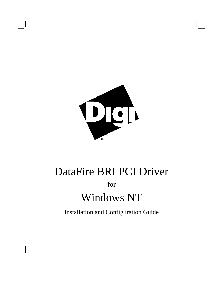

# DataFire BRI PCI Driver

# for

# Windows NT

Installation and Configuration Guide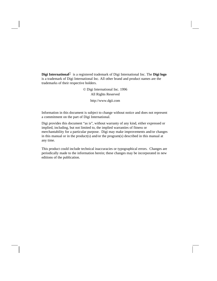**Digi International**<sup>®</sup> is a registered trademark of Digi International Inc. The Digi logo is a trademark of Digi International Inc. All other brand and product names are the trademarks of their respective holders.

> © Digi International Inc. 1996 All Rights Reserved http://www.dgii.com

Information in this document is subject to change without notice and does not represent a commitment on the part of Digi International.

Digi provides this document "as is", without warranty of any kind, either expressed or implied, including, but not limited to, the implied warranties of fitness or merchantability for a particular purpose. Digi may make improvements and/or changes in this manual or in the product(s) and/or the program(s) described in this manual at any time.

This product could include technical inaccuracies or typographical errors. Changes are periodically made to the information herein; these changes may be incorporated in new editions of the publication.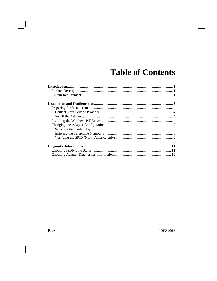# **Table of Contents**

90033200A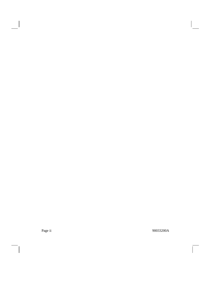Page ii 90033200A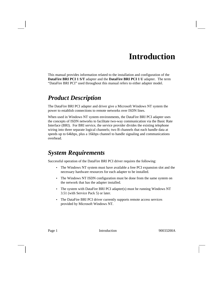# **Introduction**

This manual provides information related to the installation and configuration of the **DataFire BRI PCI 1 S/T** adapter and the **DataFire BRI PCI 1 U** adapter. The term "DataFire BRI PCI" used throughout this manual refers to either adapter model.

# *Product Description*

The DataFire BRI PCI adapter and driver give a Microsoft Windows NT system the power to establish connections to remote networks over ISDN lines.

When used in Windows NT system environments, the DataFire BRI PCI adapter uses the concepts of ISDN networks to facilitate two-way communication via the Basic Rate Interface (BRI). For BRI service, the service provider divides the existing telephone wiring into three separate logical channels; two B channels that each handle data at speeds up to 64kbps, plus a 16kbps channel to handle signaling and communications overhead.

### *System Requirements*

Successful operation of the DataFire BRI PCI driver requires the following:

- The Windows NT system must have available a free PCI expansion slot and the necessary hardware resources for each adapter to be installed.
- The Windows NT ISDN configuration must be done from the same system on the network that has the adapter installed.
- The system with DataFire BRI PCI adapter(s) must be running Windows NT 3.51 (with Service Pack 5) or later.
- The DataFire BRI PCI driver currently supports remote access services provided by Microsoft Windows NT.

Page 1 Introduction 90033200A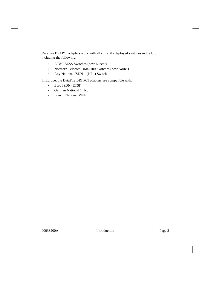DataFire BRI PCI adapters work with all currently deployed switches in the U.S., including the following:

- AT&T 5ESS Switches (now Lucent)
- Northern Telecom DMS-100 Switches (now Nortel)
- Any National ISDN-1 (NI-1) Switch.

In Europe, the DataFire BRI PCI adapters are compatible with:

- Euro ISDN (ETSI)
- German National 1TR6
- French National VN4

90033200A Introduction Page 2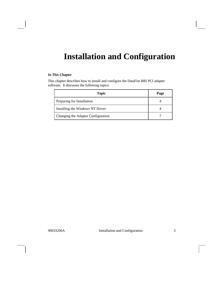# **Installation and Configuration**

### *In This Chapter*

This chapter describes how to install and configure the DataFire BRI PCI adapter software. It discusses the following topics:

| <b>Topic</b>                       | Page |
|------------------------------------|------|
| Preparing for Installation         |      |
| Installing the Windows NT Driver   |      |
| Changing the Adapter Configuration |      |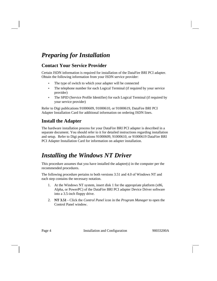### *Preparing for Installation*

### **Contact Your Service Provider**

Certain ISDN information is required for installation of the DataFire BRI PCI adapter. Obtain the following information from your ISDN service provider:

- The type of switch to which your adapter will be connected
- The telephone number for each Logical Terminal (if required by your service provider)
- The SPID (Service Profile Identifier) for each Logical Terminal (if required by your service provider)

Refer to Digi publications 91000609, 91000610, or 91000619, DataFire BRI PCI Adapter Installation Card for additional information on ordering ISDN lines.

### **Install the Adapter**

The hardware installation process for your DataFire BRI PCI adapter is described in a separate document. You should refer to it for detailed instructions regarding installation and setup. Refer to Digi publications 91000609, 91000610, or 91000619 DataFire BRI PCI Adapter Installation Card for information on adapter installation.

### *Installing the Windows NT Driver*

This procedure assumes that you have installed the adapter(s) in the computer per the recommended procedures.

The following procedure pertains to both versions 3.51 and 4.0 of Windows NT and each step contains the necessary notation.

- 1. At the Windows NT system, insert disk 1 for the appropriate platform (x86, Alpha, or PowerPC) of the DataFire BRI PCI adapter Device Driver software into a 3.5-inch floppy drive.
- 2. **NT 3.51** Click the *Control Panel* icon in the *Program Manager* to open the Control Panel window.

Page 4 **Installation and Configuration** 90033200A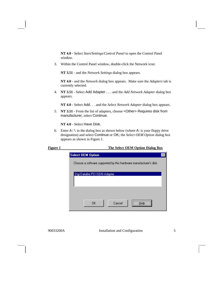**NT 4.0** - Select *Start/Settings/Control Panel* to open the Control Panel window.

3. Within the Control Panel window, double-click the Network icon:

**NT 3.51** - and the *Network Settings* dialog box appears.

**NT 4.0** - and the *Network* dialog box appears. Make sure the *Adapters* tab is currently selected.

4. **NT 3.51** - Select Add Adapter . . . and the *Add Network Adapter* dialog box appears.

**NT 4.0** - Select Add. . . and the *Select Network Adapter* dialog box appears.

5. **NT 3.51** - From the list of adapters, choose <Other>Requires disk from manufacturer, select Continue.

**NT 4.0** - Select Have Disk.

6. Enter  $A: \S$  in the dialog box as shown below (where A: is your floppy drive designation) and select Continue or OK; the *Select OEM Option* dialog box appears as shown in Figure 1.

**Figure 1** The Select OEM Option Dialog Box

| <b>Select OEM Option</b>                                          |  |
|-------------------------------------------------------------------|--|
| Choose a software supported by this hardware manufacturer's disk. |  |
|                                                                   |  |
| Digi Datafire PCI ISDN Adapter                                    |  |
|                                                                   |  |
|                                                                   |  |
|                                                                   |  |
| <br>Cancel<br>ОK                                                  |  |
|                                                                   |  |

|  | 90033200A |
|--|-----------|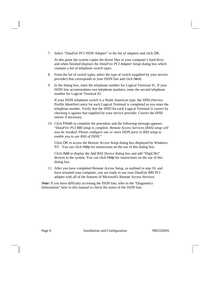7. Select "DataFire PCI ISDN Adapter" in the list of adapters and click OK.

At this point the system copies the driver files to your computer's hard drive and when finished displays the *DataFire PCI Adapter Setup* dialog box which contains a list of telephone switch types.

- 8. From the list of switch types, select the type of switch (supplied by your service provider) that corresponds to your ISDN line and click Next.
- 9. In the dialog box, enter the telephone number for Logical Terminal #1. If your ISDN line accommodates two telephone numbers, enter the second telephone number for Logical Terminal #2.

If your ISDN telephone switch is a North American type, the SPID (Service Profile Identifier) entry for each Logical Terminal is completed as you enter the telephone number. Verify that the SPID for each Logical Terminal is correct by checking it against that supplied by your service provider. Correct the SPID entries if necessary.

10. Click Finish to complete the procedure and the following message appears: "*DataFire PCI BRI setup is complete. Remote Access Services (RAS) setup will now be invoked. Please configure one or more ISDN ports in RAS setup to enable you to use RAS of ISDN*."

Click OK to access the *Remote Access Setup* dialog box displayed by Windows NT. You can click Help for instructions on the use of this dialog box.

Click Add to display the *Add RAS Device* dialog box and add "DigiCBri" devices to the system. You can click Help for instructions on the use of this dialog box.

11. After you have completed Remote Access Setup, as outlined in step 10, and have restarted your computer, you are ready to use your DataFire BRI PCI adapter with all of the features of Microsoft's Remote Access Services.

*Note:* If you have difficulty accessing the ISDN line, refer to the "Diagnostics" Information" later in this manual to check the status of the ISDN line.

Page 6 Installation and Configuration 90033200A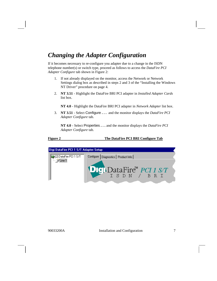# *Changing the Adapter Configuration*

If it becomes necessary to re-configure you adapter due to a change in the ISDN telephone number(s) or switch type, proceed as follows to access the *DataFire PCI Adapter Configure* tab shown in Figure 2:

- 1. If not already displayed on the monitor, access the Network or Network Settings dialog box as described in steps 2 and 3 of the "Installing the Windows NT Driver" procedure on page 4.
- 2. **NT 3.51** Highlight the DataFire BRI PCI adapter in *Installed Adapter Cards* list box.

**NT 4.0** - Highlight the DataFire BRI PCI adapter in *Network Adapter* list box.

3. **NT 3.51** - Select Configure **. . .** and the monitor displays the *DataFire PCI Adapter Configure* tab.

**NT 4.0** - Select Properties **. . .** and the monitor displays the *DataFire PCI Adapter Configure* tab.

### **Figure 2 The DataFire PCI BRI Configure Tab**

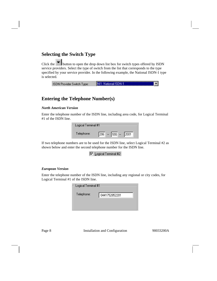### **Selecting the Switch Type**

Click the **button** to open the drop down list box for switch types offered by ISDN service providers. Select the type of switch from the list that corresponds to the type specified by your service provider. In the following example, the National ISDN-1 type is selected.

| [ISDN Provider Switch Type:/ | NI1: National ISDN-1 |  |
|------------------------------|----------------------|--|
|------------------------------|----------------------|--|

### **Entering the Telephone Number(s)**

### *North American Version*

Enter the telephone number of the ISDN line, including area code, for Logical Terminal #1 of the ISDN line.

| Logical Terminal #1 |                                                          |
|---------------------|----------------------------------------------------------|
| Telephone:          | $\begin{bmatrix} 206 & - & 555 & - & 2001 \end{bmatrix}$ |

If two telephone numbers are to be used for the ISDN line, select Logical Terminal #2 as shown below and enter the second telephone number for the ISDN line.

|  | $\nabla$ Logical Terminal #2 |
|--|------------------------------|
|--|------------------------------|

### *European Version*

Enter the telephone number of the ISDN line, including any regional or city codes, for Logical Terminal #1 of the ISDN line.

| Logical Terminal #1 |               |
|---------------------|---------------|
| Telephone:          | 0441752852201 |
|                     |               |
|                     |               |

Page 8 **Installation and Configuration** 90033200A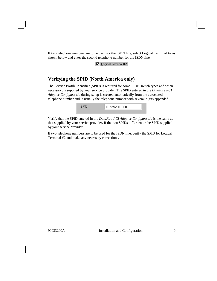If two telephone numbers are to be used for the ISDN line, select Logical Terminal #2 as shown below and enter the second telephone number for the ISDN line.

### **Verifying the SPID (North America only)**

The Service Profile Identifier (SPID) is required for some ISDN switch types and when necessary, is supplied by your service provider. The SPID entered in the *DataFire PCI Adapter Configure* tab during setup is created automatically from the associated telephone number and is usually the telephone number with several digits appended.

| 5552001000 |  |
|------------|--|
|------------|--|

Verify that the SPID entered in the *DataFire PCI Adapter Configure* tab is the same as that supplied by your service provider. If the two SPIDs differ, enter the SPID supplied by your service provider.

If two telephone numbers are to be used for the ISDN line, verify the SPID for Logical Terminal #2 and make any necessary corrections.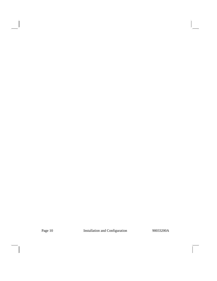Page 10 Installation and Configuration 90033200A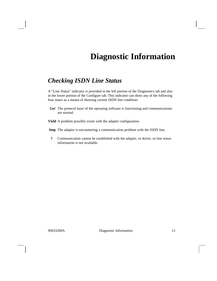# **Diagnostic Information**

### *Checking ISDN Line Status*

A "Line Status" indicator is provided in the left portion of the Diagnostics tab and also in the lower portion of the Configure tab. This indicator can show any of the following four states as a means of showing current ISDN line condition:

- **Go!** The protocol layer of the operating software is functioning and communications are normal.
- **Yield** A problem possibly exists with the adapter configuration.
- **Stop** The adapter is encountering a communication problem with the ISDN line.
- **?** Communication cannot be established with the adapter, or driver, so line status information is not available.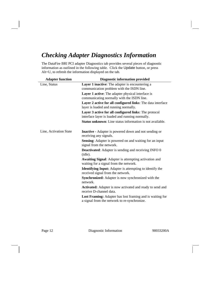# *Checking Adapter Diagnostics Information*

The DataFire BRI PCI adapter Diagnostics tab provides several pieces of diagnostic information as outlined in the following table. Click the Update button, or press Alt+U, to refresh the information displayed on the tab.

| <b>Adapter function</b> | <b>Diagnostic information provided</b>                                                                    |
|-------------------------|-----------------------------------------------------------------------------------------------------------|
| Line, Status            | Layer 1 inactive: The adapter is encountering a<br>communication problem with the ISDN line.              |
|                         | Layer 1 active: The adapter physical interface is<br>communicating normally with the ISDN line.           |
|                         | Layer 2 active for all configured links: The data interface<br>layer is loaded and running normally.      |
|                         | Layer 3 active for all configured links: The protocol<br>interface layer is loaded and running normally.  |
|                         | <b>Status unknown:</b> Line status information is not available.                                          |
| Line, Activation State  | <b>Inactive -</b> Adapter is powered down and not sending or<br>receiving any signals.                    |
|                         | <b>Sensing:</b> Adapter is powered on and waiting for an input<br>signal from the network.                |
|                         | <b>Deactivated:</b> Adapter is sending and receiving INFO 0<br>(idle).                                    |
|                         | Awaiting Signal: Adapter is attempting activation and<br>waiting for a signal from the network.           |
|                         | Identifying Input: Adapter is attempting to identify the<br>received signal from the network.             |
|                         | Synchronized: Adapter is now synchronized with the<br>network.                                            |
|                         | Activated: Adapter is now activated and ready to send and<br>receive D-channel data.                      |
|                         | Lost Framing: Adapter has lost framing and is waiting for<br>a signal from the network to re-synchronize. |
|                         |                                                                                                           |

Page 12 Diagnostic Information 90033200A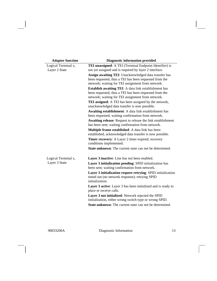| <b>Adapter function</b>              | <b>Diagnostic information provided</b>                                                                                                                                      |
|--------------------------------------|-----------------------------------------------------------------------------------------------------------------------------------------------------------------------------|
| Logical Terminal x,<br>Layer 2 State | TEI unassigned: A TEI (Terminal Endpoint Identifier) is<br>not yet assigned and is required by layer 2 interface.                                                           |
|                                      | Assign awaiting TEI: Unacknowledged data transfer has<br>been requested, thus a TEI has been requested from the<br>network; waiting for TEI assignment from network.        |
|                                      | <b>Establish awaiting TEI:</b> A data link establishment has<br>been requested, thus a TEI has been requested from the<br>network; waiting for TEI assignment from network. |
|                                      | TEI assigned: A TEI has been assigned by the network,<br>unacknowledged data transfer is now possible.                                                                      |
|                                      | Awaiting establishment: A data link establishment has<br>been requested; waiting confirmation from network.                                                                 |
|                                      | Awaiting release: Request to release the link establishment<br>has been sent; waiting confirmation from network.                                                            |
|                                      | Multiple frame established: A data link has been<br>established, acknowledged data transfer is now possible.                                                                |
|                                      | Timer recovery: A Layer 2 timer expired; recovery<br>conditions implemented.                                                                                                |
|                                      | <b>State unknown:</b> The current state can not be determined.                                                                                                              |
| Logical Terminal x,                  | Layer 3 inactive: Line has not been enabled.                                                                                                                                |
| Layer 3 State                        | Layer 3 initialization pending: SPID initialization has<br>been sent; waiting confirmation from network.                                                                    |
|                                      | Layer 3 initialization request retrying: SPID initialization<br>timed out (no network response); retrying SPID<br>initialization.                                           |
|                                      | Layer 3 active: Layer 3 has been initialized and is ready to<br>place or receive calls.                                                                                     |
|                                      | Layer 3 not initialized: Network rejected the SPID<br>initialization, either wrong switch type or wrong SPID.                                                               |
|                                      | <b>State unknown:</b> The current state can not be determined.                                                                                                              |

90033200A Diagnostic Information 13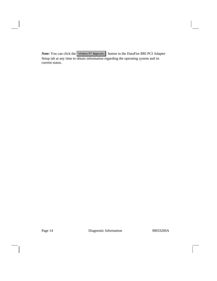*Note:* You can click the Windows NT diagnostics button in the DataFire BRI PCI Adapter Setup tab at any time to obtain information regarding the operating system and its current status.

Page 14 Diagnostic Information 90033200A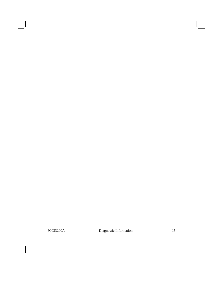90033200A Diagnostic Information 15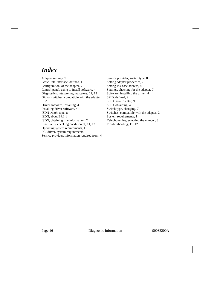### *Index*

Adapter settings, 7 Basic Rate Interface, defined, 1 Configuration, of the adapter, 7 Control panel, using to install software, 4 Diagnostics, interpreting indicators, 11, 12 Digital switches, compatible with the adapter, 2 Driver software, installing, 4 Installing driver software, 4 ISDN switch type, 8 ISDN, about BRI, 1 ISDN, obtaining line information, 2 Line status, checking condition of, 11, 12 Operating system requirements, 1 PCI driver, system requirements, 1 Service provider, information required from, 4 Service provider, switch type, 8 Setting adapter properties, 7 Setting I/O base address, 8 Settings, checking for the adapter, 7 Software, installing the driver, 4 SPID, defined, 9 SPID, how to enter, 9 SPID, obtaining, 4 Switch type, changing, 7 Switches, compatible with the adapter, 2 System requirements, 1 Telephone line, selecting the number, 8 Troubleshooting, 11, 12

Page 16 Diagnostic Information 90033200A